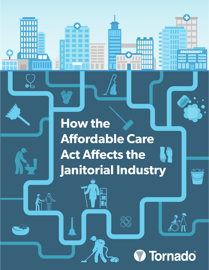# **How the Affordable Care AND Act Affects the Janitorial Industry**

G

## Tornado T.

EMERGENCY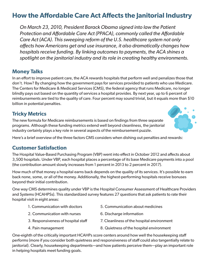### **How the Affordable Care Act Affects the Janitorial Industry**

*On March 23, 2010, President Barack Obama signed into law the Patient Protection and Affordable Care Act (PPACA), commonly called the Affordable Care Act (ACA). This sweeping reform of the U.S. healthcare system not only affects how Americans get and use insurance, it also dramatically changes how hospitals receive funding. By linking outcomes to payments, the ACA shines a spotlight on the janitorial industry and its role in creating healthy environments.*

#### **Money Talks**

In an effort to improve patient care, the ACA rewards hospitals that perform well and penalizes those that don't. How? By changing how the government pays for services provided to patients who use Medicare. The Centers for Medicare & Medicaid Services (CMS), the federal agency that runs Medicare, no longer blindly pays out based on the quantity of services a hospital provides. By next year, up to 6 percent of reimbursements are tied to the quality of care. Four percent may sound trivial, but it equals more than \$10 billion in potential penalties.

#### **Tricky Metrics**

The new formula for Medicare reimbursements is based on findings from three separate programs. Although these funding metrics extend well beyond cleanliness, the janitorial industry certainly plays a key role in several aspects of the reimbursement puzzle.



Here's a brief overview of the three factors CMS considers when dishing out penalties and rewards:

#### **Customer Satisfaction**

The Hospital Value-Based Purchasing Program (VBP) went into effect in October 2012 and affects about 3,500 hospitals. Under VBP, each hospital places a percentage of its base Medicare payments into a pool (the contribution amount slowly increases from 1 percent in 2013 to 2 percent in 2017).

How much of that money a hospital earns back depends on the quality of its services. It's possible to earn back none, some, or all of the money. Additionally, the highest-performing hospitals receive bonuses beyond their initial contribution.

One way CMS determines quality under VBP is the Hospital Consumer Assessment of Healthcare Providers and Systems (HCAHPSs). This standardized survey features 27 questions that ask patients to rate their hospital visit in eight areas:

- 1. Communication with doctors 5. Communication about medicines
- 2. Communication with nurses 6. Discharge information
- 3. Responsiveness of hospital staff 7. Cleanliness of the hospital environment
- 
- -
- 4. Pain management 8. Quietness of the hospital environment
- 

One-eighth of the critically important HCAHPs score centers around how well the housekeeping staff performs (more if you consider both quietness and responsiveness of staff could also tangentially relate to janitorial). Clearly, housekeeping departments—and how patients perceive them—play an important role in helping hospitals meet funding goals.